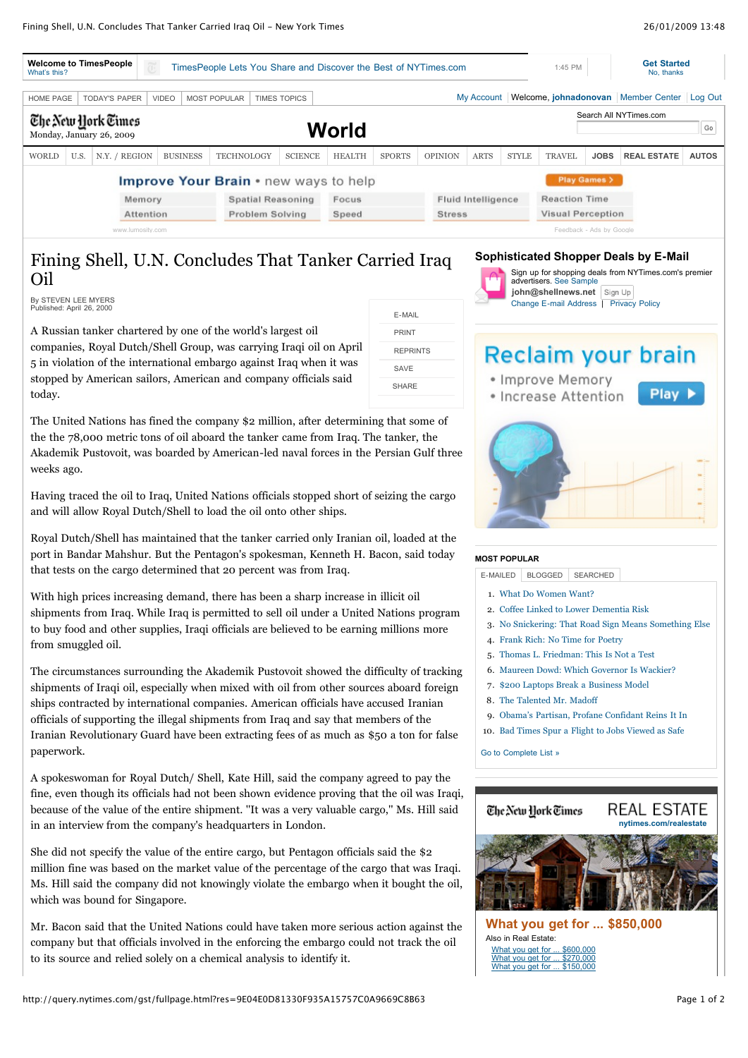

[E-MAIL](javascript:document.emailThis.submit();) [PRINT](http://query.nytimes.com/gst/fullpage.html?res=9E04E0D81330F935A15757C0A9669C8B63&sec=&spon=&pagewanted=print) [REPRINTS](http://query.nytimes.com/gst/fullpage.html?res=9E04E0D81330F935A15757C0A9669C8B63#) **[SAVE](http://query.nytimes.com/gst/fullpage.html?res=9E04E0D81330F935A15757C0A9669C8B63#) [SHARE](http://query.nytimes.com/gst/fullpage.html?res=9E04E0D81330F935A15757C0A9669C8B63#)** 

# Fining Shell, U.N. Concludes That Tanker Carried Iraq Oil

By STEVEN LEE MYERS Published: April 26, 2000

A Russian tanker chartered by one of the world's largest oil companies, Royal Dutch/Shell Group, was carrying Iraqi oil on April 5 in violation of the international embargo against Iraq when it was stopped by American sailors, American and company officials said today.

The United Nations has fined the company \$2 million, after determining that some of the the 78,000 metric tons of oil aboard the tanker came from Iraq. The tanker, the Akademik Pustovoit, was boarded by American-led naval forces in the Persian Gulf three weeks ago.

Having traced the oil to Iraq, United Nations officials stopped short of seizing the cargo and will allow Royal Dutch/Shell to load the oil onto other ships.

Royal Dutch/Shell has maintained that the tanker carried only Iranian oil, loaded at the port in Bandar Mahshur. But the Pentagon's spokesman, Kenneth H. Bacon, said today that tests on the cargo determined that 20 percent was from Iraq.

With high prices increasing demand, there has been a sharp increase in illicit oil shipments from Iraq. While Iraq is permitted to sell oil under a United Nations program to buy food and other supplies, Iraqi officials are believed to be earning millions more from smuggled oil.

The circumstances surrounding the Akademik Pustovoit showed the difficulty of tracking shipments of Iraqi oil, especially when mixed with oil from other sources aboard foreign ships contracted by international companies. American officials have accused Iranian officials of supporting the illegal shipments from Iraq and say that members of the Iranian Revolutionary Guard have been extracting fees of as much as \$50 a ton for false paperwork.

A spokeswoman for Royal Dutch/ Shell, Kate Hill, said the company agreed to pay the fine, even though its officials had not been shown evidence proving that the oil was Iraqi, because of the value of the entire shipment. ''It was a very valuable cargo,'' Ms. Hill said in an interview from the company's headquarters in London.

She did not specify the value of the entire cargo, but Pentagon officials said the \$2 million fine was based on the market value of the percentage of the cargo that was Iraqi. Ms. Hill said the company did not knowingly violate the embargo when it bought the oil, which was bound for Singapore.

Mr. Bacon said that the United Nations could have taken more serious action against the company but that officials involved in the enforcing the embargo could not track the oil to its source and relied solely on a chemical analysis to identify it.

# **Sophisticated Shopper Deals by E-Mail**





### **MOST POPULAR**

[E-MAILED](http://query.nytimes.com/gst/fullpage.html?res=9E04E0D81330F935A15757C0A9669C8B63#) [BLOGGED](http://query.nytimes.com/gst/fullpage.html?res=9E04E0D81330F935A15757C0A9669C8B63#) [SEARCHED](http://query.nytimes.com/gst/fullpage.html?res=9E04E0D81330F935A15757C0A9669C8B63#)

- 1. [What Do Women Want?](http://www.nytimes.com/2009/01/25/magazine/25desire-t.html?em)
- 2. [Coffee Linked to Lower Dementia Risk](http://www.nytimes.com/2009/01/24/health/research/24coffee.html?em)
- 3. [No Snickering: That Road Sign Means Something Else](http://www.nytimes.com/2009/01/23/world/europe/23crapstone.html?em)
- 4. [Frank Rich: No Time for Poetry](http://www.nytimes.com/2009/01/25/opinion/25rich.html?em)
- 5. [Thomas L. Friedman: This Is Not a Test](http://www.nytimes.com/2009/01/25/opinion/25friedman.html?em)
- 6. [Maureen Dowd: Which Governor Is Wackier?](http://www.nytimes.com/2009/01/25/opinion/25dowd.html?em)
- 7. [\\$200 Laptops Break a Business Model](http://www.nytimes.com/2009/01/26/technology/26spend.html?em)
- 8. [The Talented Mr. Madoff](http://www.nytimes.com/2009/01/25/business/25bernie.html?em)
- 9. [Obama's Partisan, Profane Confidant Reins It In](http://www.nytimes.com/2009/01/25/us/politics/25emanuel.html?em)
- 10. [Bad Times Spur a Flight to Jobs Viewed as Safe](http://www.nytimes.com/2009/01/25/business/25safe.html?em)

Go to Complete List »



**[What you get for ... \\$850,000](http://www.nytimes.com/adx/bin/adx_click.html?type=goto&page=www.nytimes.com/archive/article&pos=Box1&sn2=ff527c27/6a0499e3&sn1=b8c229ac/bc5b9556&camp=NYT2009_marketingmodule&ad=RE-D-I-NYT-MOD-MOD-m078-ROS-0109&goto=http://www.nytimes.com/2009/01/21/greathomesanddestinations/21gh-what.html%3Fex=1248238800%26en=3948309595c02c49%26ei=5087%26WT.mc_id=RE-D-I-NYT-MOD-MOD-m078-ROS-0109-HDR%26WT.mc_ev=click)** Also in Real Estate: [What you get for ... \\$600,000](http://www.nytimes.com/adx/bin/adx_click.html?type=goto&page=www.nytimes.com/archive/article&pos=Box1&sn2=ff527c27/6a0499e3&sn1=b8c229ac/bc5b9556&camp=NYT2009_marketingmodule&ad=RE-D-I-NYT-MOD-MOD-m078-ROS-0109&goto=http://www.nytimes.com/2009/01/07/greathomesanddestinations/07gh-what.html%3Fex=1248238800%26en=e9c0ffe7ae80c82d%26ei=5087%26WT.mc_id=RE-D-I-NYT-MOD-MOD-m078-ROS-0109-L1%26WT.mc_ev=click)<br>What you get for ... \$270,000 you get for What you get for